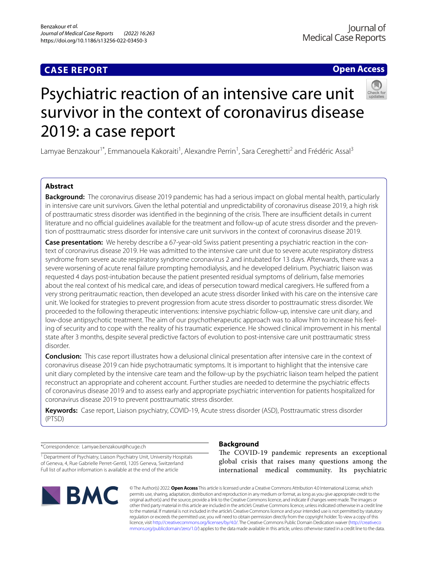## **CASE REPORT**

## **Open Access**



# Psychiatric reaction of an intensive care unit survivor in the context of coronavirus disease 2019: a case report

Lamyae Benzakour<sup>1\*</sup>, Emmanouela Kakoraiti<sup>1</sup>, Alexandre Perrin<sup>1</sup>, Sara Cereghetti<sup>2</sup> and Frédéric Assal<sup>3</sup>

## **Abstract**

**Background:** The coronavirus disease 2019 pandemic has had a serious impact on global mental health, particularly in intensive care unit survivors. Given the lethal potential and unpredictability of coronavirus disease 2019, a high risk of posttraumatic stress disorder was identified in the beginning of the crisis. There are insufficient details in current literature and no official guidelines available for the treatment and follow-up of acute stress disorder and the prevention of posttraumatic stress disorder for intensive care unit survivors in the context of coronavirus disease 2019.

**Case presentation:** We hereby describe a 67-year-old Swiss patient presenting a psychiatric reaction in the context of coronavirus disease 2019. He was admitted to the intensive care unit due to severe acute respiratory distress syndrome from severe acute respiratory syndrome coronavirus 2 and intubated for 13 days. Afterwards, there was a severe worsening of acute renal failure prompting hemodialysis, and he developed delirium. Psychiatric liaison was requested 4 days post-intubation because the patient presented residual symptoms of delirium, false memories about the real context of his medical care, and ideas of persecution toward medical caregivers. He sufered from a very strong peritraumatic reaction, then developed an acute stress disorder linked with his care on the intensive care unit. We looked for strategies to prevent progression from acute stress disorder to posttraumatic stress disorder. We proceeded to the following therapeutic interventions: intensive psychiatric follow-up, intensive care unit diary, and low-dose antipsychotic treatment. The aim of our psychotherapeutic approach was to allow him to increase his feeling of security and to cope with the reality of his traumatic experience. He showed clinical improvement in his mental state after 3 months, despite several predictive factors of evolution to post-intensive care unit posttraumatic stress disorder.

**Conclusion:** This case report illustrates how a delusional clinical presentation after intensive care in the context of coronavirus disease 2019 can hide psychotraumatic symptoms. It is important to highlight that the intensive care unit diary completed by the intensive care team and the follow-up by the psychiatric liaison team helped the patient reconstruct an appropriate and coherent account. Further studies are needed to determine the psychiatric efects of coronavirus disease 2019 and to assess early and appropriate psychiatric intervention for patients hospitalized for coronavirus disease 2019 to prevent posttraumatic stress disorder.

**Keywords:** Case report, Liaison psychiatry, COVID-19, Acute stress disorder (ASD), Posttraumatic stress disorder (PTSD)

\*Correspondence: Lamyae.benzakour@hcuge.ch

<sup>1</sup> Department of Psychiatry, Liaison Psychiatry Unit, University Hospitals of Geneva, 4, Rue Gabrielle Perret-Gentil, 1205 Geneva, Switzerland Full list of author information is available at the end of the article



## **Background**

The COVID-19 pandemic represents an exceptional global crisis that raises many questions among the international medical community. Its psychiatric

© The Author(s) 2022. **Open Access** This article is licensed under a Creative Commons Attribution 4.0 International License, which permits use, sharing, adaptation, distribution and reproduction in any medium or format, as long as you give appropriate credit to the original author(s) and the source, provide a link to the Creative Commons licence, and indicate if changes were made. The images or other third party material in this article are included in the article's Creative Commons licence, unless indicated otherwise in a credit line to the material. If material is not included in the article's Creative Commons licence and your intended use is not permitted by statutory regulation or exceeds the permitted use, you will need to obtain permission directly from the copyright holder. To view a copy of this licence, visit [http://creativecommons.org/licenses/by/4.0/.](http://creativecommons.org/licenses/by/4.0/) The Creative Commons Public Domain Dedication waiver ([http://creativeco](http://creativecommons.org/publicdomain/zero/1.0/) [mmons.org/publicdomain/zero/1.0/](http://creativecommons.org/publicdomain/zero/1.0/)) applies to the data made available in this article, unless otherwise stated in a credit line to the data.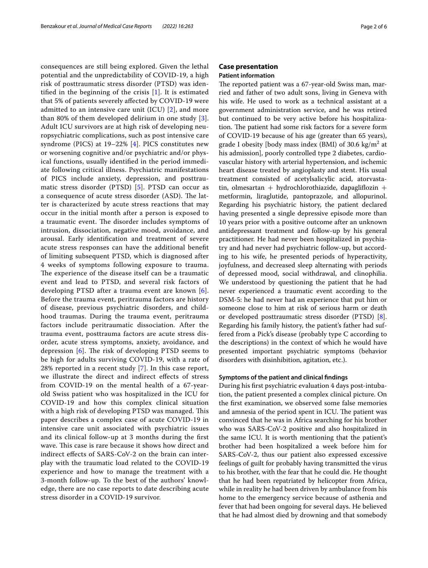consequences are still being explored. Given the lethal potential and the unpredictability of COVID-19, a high risk of posttraumatic stress disorder (PTSD) was identified in the beginning of the crisis  $[1]$  $[1]$ . It is estimated that 5% of patients severely afected by COVID-19 were admitted to an intensive care unit (ICU) [[2](#page-5-1)], and more than 80% of them developed delirium in one study  $[3]$  $[3]$ . Adult ICU survivors are at high risk of developing neuropsychiatric complications, such as post intensive care syndrome (PICS) at 19–22% [[4\]](#page-5-3). PICS constitutes new or worsening cognitive and/or psychiatric and/or physical functions, usually identifed in the period immediate following critical illness. Psychiatric manifestations of PICS include anxiety, depression, and posttraumatic stress disorder (PTSD) [[5\]](#page-5-4). PTSD can occur as a consequence of acute stress disorder (ASD). The latter is characterized by acute stress reactions that may occur in the initial month after a person is exposed to a traumatic event. The disorder includes symptoms of intrusion, dissociation, negative mood, avoidance, and arousal. Early identifcation and treatment of severe acute stress responses can have the additional beneft of limiting subsequent PTSD, which is diagnosed after 4 weeks of symptoms following exposure to trauma. The experience of the disease itself can be a traumatic event and lead to PTSD, and several risk factors of developing PTSD after a trauma event are known [[6\]](#page-5-5). Before the trauma event, peritrauma factors are history of disease, previous psychiatric disorders, and childhood traumas. During the trauma event, peritrauma factors include peritraumatic dissociation. After the trauma event, posttrauma factors are acute stress disorder, acute stress symptoms, anxiety, avoidance, and depression  $[6]$  $[6]$ . The risk of developing PTSD seems to be high for adults surviving COVID-19, with a rate of 28% reported in a recent study [\[7](#page-5-6)]. In this case report, we illustrate the direct and indirect efects of stress from COVID-19 on the mental health of a 67-yearold Swiss patient who was hospitalized in the ICU for COVID-19 and how this complex clinical situation with a high risk of developing PTSD was managed. This paper describes a complex case of acute COVID-19 in intensive care unit associated with psychiatric issues and its clinical follow-up at 3 months during the frst wave. This case is rare because it shows how direct and indirect efects of SARS-CoV-2 on the brain can interplay with the traumatic load related to the COVID-19 experience and how to manage the treatment with a 3-month follow-up. To the best of the authors' knowledge, there are no case reports to date describing acute stress disorder in a COVID-19 survivor.

# **Case presentation**

## **Patient information**

The reported patient was a 67-year-old Swiss man, married and father of two adult sons, living in Geneva with his wife. He used to work as a technical assistant at a government administration service, and he was retired but continued to be very active before his hospitalization. The patient had some risk factors for a severe form of COVID-19 because of his age (greater than 65 years), grade I obesity [body mass index (BMI) of 30.6  $\text{kg/m}^2$  at his admission], poorly controlled type 2 diabetes, cardiovascular history with arterial hypertension, and ischemic heart disease treated by angioplasty and stent. His usual treatment consisted of acetylsalicylic acid, atorvastatin, olmesartan + hydrochlorothiazide, dapagliflozin + metformin, liraglutide, pantoprazole, and allopurinol. Regarding his psychiatric history, the patient declared having presented a single depressive episode more than 10 years prior with a positive outcome after an unknown antidepressant treatment and follow-up by his general practitioner. He had never been hospitalized in psychiatry and had never had psychiatric follow-up, but according to his wife, he presented periods of hyperactivity, joyfulness, and decreased sleep alternating with periods of depressed mood, social withdrawal, and clinophilia. We understood by questioning the patient that he had never experienced a traumatic event according to the DSM-5: he had never had an experience that put him or someone close to him at risk of serious harm or death or developed posttraumatic stress disorder (PTSD) [\[8](#page-5-7)]. Regarding his family history, the patient's father had suffered from a Pick's disease (probably type C according to the descriptions) in the context of which he would have presented important psychiatric symptoms (behavior disorders with disinhibition, agitation, etc.).

#### **Symptoms of the patient and clinical fndings**

During his frst psychiatric evaluation 4 days post-intubation, the patient presented a complex clinical picture. On the frst examination, we observed some false memories and amnesia of the period spent in ICU. The patient was convinced that he was in Africa searching for his brother who was SARS-CoV-2 positive and also hospitalized in the same ICU. It is worth mentioning that the patient's brother had been hospitalized a week before him for SARS-CoV-2, thus our patient also expressed excessive feelings of guilt for probably having transmitted the virus to his brother, with the fear that he could die. He thought that he had been repatriated by helicopter from Africa, while in reality he had been driven by ambulance from his home to the emergency service because of asthenia and fever that had been ongoing for several days. He believed that he had almost died by drowning and that somebody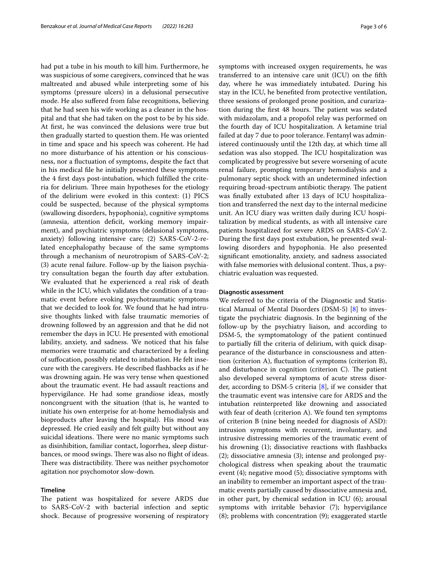had put a tube in his mouth to kill him. Furthermore, he was suspicious of some caregivers, convinced that he was maltreated and abused while interpreting some of his symptoms (pressure ulcers) in a delusional persecutive mode. He also sufered from false recognitions, believing that he had seen his wife working as a cleaner in the hospital and that she had taken on the post to be by his side. At first, he was convinced the delusions were true but then gradually started to question them. He was oriented in time and space and his speech was coherent. He had no more disturbance of his attention or his consciousness, nor a fuctuation of symptoms, despite the fact that in his medical fle he initially presented these symptoms the 4 frst days post-intubation, which fulflled the criteria for delirium. Three main hypotheses for the etiology of the delirium were evoked in this context: (1) PICS could be suspected, because of the physical symptoms (swallowing disorders, hypophonia), cognitive symptoms (amnesia, attention deficit, working memory impairment), and psychiatric symptoms (delusional symptoms, anxiety) following intensive care; (2) SARS-CoV-2-related encephalopathy because of the same symptoms through a mechanism of neurotropism of SARS-CoV-2; (3) acute renal failure. Follow-up by the liaison psychiatry consultation began the fourth day after extubation. We evaluated that he experienced a real risk of death while in the ICU, which validates the condition of a traumatic event before evoking psychotraumatic symptoms that we decided to look for. We found that he had intrusive thoughts linked with false traumatic memories of drowning followed by an aggression and that he did not remember the days in ICU. He presented with emotional lability, anxiety, and sadness. We noticed that his false memories were traumatic and characterized by a feeling of sufocation, possibly related to intubation. He felt insecure with the caregivers. He described fashbacks as if he was drowning again. He was very tense when questioned about the traumatic event. He had assault reactions and hypervigilance. He had some grandiose ideas, mostly noncongruent with the situation (that is, he wanted to initiate his own enterprise for at-home hemodialysis and bioproducts after leaving the hospital). His mood was depressed. He cried easily and felt guilty but without any suicidal ideations. There were no manic symptoms such as disinhibition, familiar contact, logorrhea, sleep disturbances, or mood swings. There was also no flight of ideas. There was distractibility. There was neither psychomotor agitation nor psychomotor slow-down.

#### **Timeline**

The patient was hospitalized for severe ARDS due to SARS-CoV-2 with bacterial infection and septic shock. Because of progressive worsening of respiratory symptoms with increased oxygen requirements, he was transferred to an intensive care unit (ICU) on the ffth day, where he was immediately intubated. During his stay in the ICU, he benefted from protective ventilation, three sessions of prolonged prone position, and curarization during the first 48 hours. The patient was sedated with midazolam, and a propofol relay was performed on the fourth day of ICU hospitalization. A ketamine trial failed at day 7 due to poor tolerance. Fentanyl was administered continuously until the 12th day, at which time all sedation was also stopped. The ICU hospitalization was complicated by progressive but severe worsening of acute renal failure, prompting temporary hemodialysis and a pulmonary septic shock with an undetermined infection requiring broad-spectrum antibiotic therapy. The patient was fnally extubated after 13 days of ICU hospitalization and transferred the next day to the internal medicine unit. An ICU diary was written daily during ICU hospitalization by medical students, as with all intensive care patients hospitalized for severe ARDS on SARS-CoV-2. During the frst days post extubation, he presented swallowing disorders and hypophonia. He also presented signifcant emotionality, anxiety, and sadness associated with false memories with delusional content. Thus, a psychiatric evaluation was requested.

#### **Diagnostic assessment**

We referred to the criteria of the Diagnostic and Statistical Manual of Mental Disorders (DSM-5) [[8\]](#page-5-7) to investigate the psychiatric diagnosis. In the beginning of the follow-up by the psychiatry liaison, and according to DSM-5, the symptomatology of the patient continued to partially fll the criteria of delirium, with quick disappearance of the disturbance in consciousness and attention (criterion A), fuctuation of symptoms (criterion B), and disturbance in cognition (criterion  $C$ ). The patient also developed several symptoms of acute stress disorder, according to DSM-5 criteria [\[8\]](#page-5-7), if we consider that the traumatic event was intensive care for ARDS and the intubation reinterpreted like drowning and associated with fear of death (criterion A). We found ten symptoms of criterion B (nine being needed for diagnosis of ASD): intrusion symptoms with recurrent, involuntary, and intrusive distressing memories of the traumatic event of his drowning (1); dissociative reactions with fashbacks (2); dissociative amnesia (3); intense and prolonged psychological distress when speaking about the traumatic event (4); negative mood (5); dissociative symptoms with an inability to remember an important aspect of the traumatic events partially caused by dissociative amnesia and, in other part, by chemical sedation in ICU (6); arousal symptoms with irritable behavior (7); hypervigilance (8); problems with concentration (9); exaggerated startle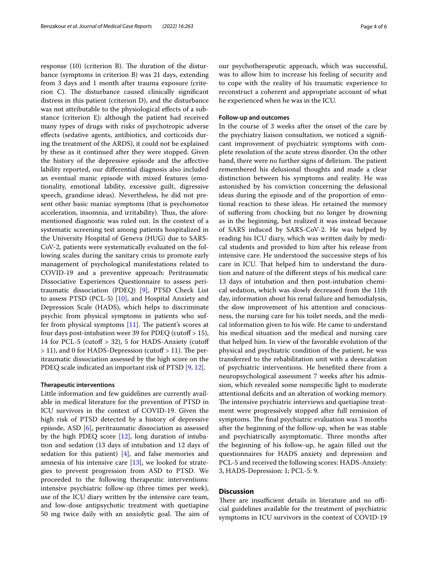response  $(10)$  (criterion B). The duration of the disturbance (symptoms in criterion B) was 21 days, extending from 3 days and 1 month after trauma exposure (criterion C). The disturbance caused clinically significant distress in this patient (criterion D), and the disturbance was not attributable to the physiological efects of a substance (criterion E): although the patient had received many types of drugs with risks of psychotropic adverse efects (sedative agents, antibiotics, and corticoids during the treatment of the ARDS), it could not be explained by these as it continued after they were stopped. Given the history of the depressive episode and the afective lability reported, our diferential diagnosis also included an eventual manic episode with mixed features (emotionality, emotional lability, excessive guilt, digressive speech, grandiose ideas). Nevertheless, he did not present other basic maniac symptoms (that is psychomotor acceleration, insomnia, and irritability). Thus, the aforementioned diagnostic was ruled out. In the context of a systematic screening test among patients hospitalized in the University Hospital of Geneva (HUG) due to SARS-CoV-2, patients were systematically evaluated on the following scales during the sanitary crisis to promote early management of psychological manifestations related to COVID-19 and a preventive approach: Peritraumatic Dissociative Experiences Questionnaire to assess peritraumatic dissociation (PDEQ) [[9\]](#page-5-8), PTSD Check List to assess PTSD (PCL-5) [\[10\]](#page-5-9), and Hospital Anxiety and Depression Scale (HADS), which helps to discriminate psychic from physical symptoms in patients who suffer from physical symptoms  $[11]$  $[11]$ . The patient's scores at four days post-intubation weer 39 for PDEQ (cutoff  $> 15$ ), 14 for PCL-5 (cutoff  $> 32$ ), 5 for HADS-Anxiety (cutoff  $>$  11), and 0 for HADS-Depression (cutoff  $>$  11). The peritraumatic dissociation assessed by the high score on the PDEQ scale indicated an important risk of PTSD [\[9](#page-5-8), [12\]](#page-5-11).

#### **Therapeutic interventions**

Little information and few guidelines are currently available in medical literature for the prevention of PTSD in ICU survivors in the context of COVID-19. Given the high risk of PTSD detected by a history of depressive episode, ASD [\[6](#page-5-5)], peritraumatic dissociation as assessed by the high PDEQ score [\[12](#page-5-11)], long duration of intubation and sedation (13 days of intubation and 12 days of sedation for this patient)  $[4]$  $[4]$ , and false memories and amnesia of his intensive care [\[13](#page-5-12)], we looked for strategies to prevent progression from ASD to PTSD. We proceeded to the following therapeutic interventions: intensive psychiatric follow-up (three times per week), use of the ICU diary written by the intensive care team, and low-dose antipsychotic treatment with quetiapine 50 mg twice daily with an anxiolytic goal. The aim of our psychotherapeutic approach, which was successful, was to allow him to increase his feeling of security and to cope with the reality of his traumatic experience to reconstruct a coherent and appropriate account of what he experienced when he was in the ICU.

#### **Follow‑up and outcomes**

In the course of 3 weeks after the onset of the care by the psychiatry liaison consultation, we noticed a signifcant improvement of psychiatric symptoms with complete resolution of the acute stress disorder. On the other hand, there were no further signs of delirium. The patient remembered his delusional thoughts and made a clear distinction between his symptoms and reality. He was astonished by his conviction concerning the delusional ideas during the episode and of the proportion of emotional reaction to these ideas. He retained the memory of sufering from chocking but no longer by drowning as in the beginning, but realized it was instead because of SARS induced by SARS-CoV-2. He was helped by reading his ICU diary, which was written daily by medical students and provided to him after his release from intensive care. He understood the successive steps of his care in ICU. That helped him to understand the duration and nature of the diferent steps of his medical care: 13 days of intubation and then post-intubation chemical sedation, which was slowly decreased from the 11th day, information about his renal failure and hemodialysis, the slow improvement of his attention and consciousness, the nursing care for his toilet needs, and the medical information given to his wife. He came to understand his medical situation and the medical and nursing care that helped him. In view of the favorable evolution of the physical and psychiatric condition of the patient, he was transferred to the rehabilitation unit with a deescalation of psychiatric interventions. He benefted there from a neuropsychological assessment 7 weeks after his admission, which revealed some nonspecifc light to moderate attentional defcits and an alteration of working memory. The intensive psychiatric interviews and quetiapine treatment were progressively stopped after full remission of symptoms. The final psychiatric evaluation was 3 months after the beginning of the follow-up, when he was stable and psychiatrically asymptomatic. Three months after the beginning of his follow-up, he again flled out the questionnaires for HADS anxiety and depression and PCL-5 and received the following scores: HADS-Anxiety: 3, HADS-Depression: 1; PCL-5: 9.

### **Discussion**

There are insufficient details in literature and no official guidelines available for the treatment of psychiatric symptoms in ICU survivors in the context of COVID-19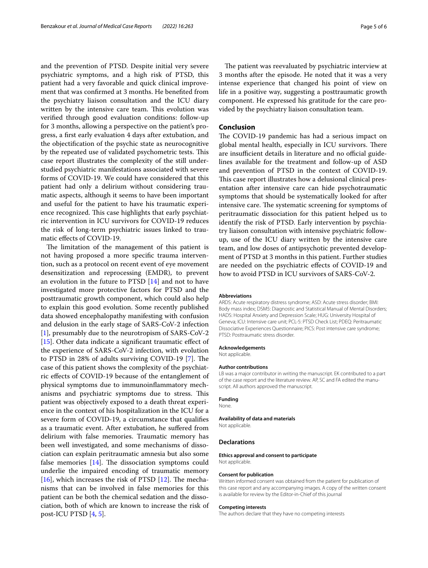and the prevention of PTSD. Despite initial very severe psychiatric symptoms, and a high risk of PTSD, this patient had a very favorable and quick clinical improvement that was confrmed at 3 months. He benefted from the psychiatry liaison consultation and the ICU diary written by the intensive care team. This evolution was verifed through good evaluation conditions: follow-up for 3 months, allowing a perspective on the patient's progress, a frst early evaluation 4 days after extubation, and the objectifcation of the psychic state as neurocognitive by the repeated use of validated psychometric tests. This case report illustrates the complexity of the still understudied psychiatric manifestations associated with severe forms of COVID-19. We could have considered that this patient had only a delirium without considering traumatic aspects, although it seems to have been important and useful for the patient to have his traumatic experience recognized. This case highlights that early psychiatric intervention in ICU survivors for COVID-19 reduces the risk of long-term psychiatric issues linked to traumatic efects of COVID-19.

The limitation of the management of this patient is not having proposed a more specifc trauma intervention, such as a protocol on recent event of eye movement desensitization and reprocessing (EMDR), to prevent an evolution in the future to PTSD [\[14\]](#page-5-13) and not to have investigated more protective factors for PTSD and the posttraumatic growth component, which could also help to explain this good evolution. Some recently published data showed encephalopathy manifesting with confusion and delusion in the early stage of SARS-CoV-2 infection [[1\]](#page-5-0), presumably due to the neurotropism of SARS-CoV-2 [[15\]](#page-5-14). Other data indicate a significant traumatic effect of the experience of SARS-CoV-2 infection, with evolution to PTSD in 28% of adults surviving COVID-19  $[7]$  $[7]$ . The case of this patient shows the complexity of the psychiatric efects of COVID-19 because of the entanglement of physical symptoms due to immunoinfammatory mechanisms and psychiatric symptoms due to stress. This patient was objectively exposed to a death threat experience in the context of his hospitalization in the ICU for a severe form of COVID-19, a circumstance that qualifes as a traumatic event. After extubation, he sufered from delirium with false memories. Traumatic memory has been well investigated, and some mechanisms of dissociation can explain peritraumatic amnesia but also some false memories  $[14]$ . The dissociation symptoms could underlie the impaired encoding of traumatic memory [[16\]](#page-5-15), which increases the risk of PTSD  $[12]$ . The mechanisms that can be involved in false memories for this patient can be both the chemical sedation and the dissociation, both of which are known to increase the risk of post-ICU PTSD [\[4](#page-5-3), [5\]](#page-5-4).

The patient was reevaluated by psychiatric interview at 3 months after the episode. He noted that it was a very intense experience that changed his point of view on life in a positive way, suggesting a posttraumatic growth component. He expressed his gratitude for the care provided by the psychiatry liaison consultation team.

#### **Conclusion**

The COVID-19 pandemic has had a serious impact on global mental health, especially in ICU survivors. There are insufficient details in literature and no official guidelines available for the treatment and follow-up of ASD and prevention of PTSD in the context of COVID-19. This case report illustrates how a delusional clinical presentation after intensive care can hide psychotraumatic symptoms that should be systematically looked for after intensive care. The systematic screening for symptoms of peritraumatic dissociation for this patient helped us to identify the risk of PTSD. Early intervention by psychiatry liaison consultation with intensive psychiatric followup, use of the ICU diary written by the intensive care team, and low doses of antipsychotic prevented development of PTSD at 3 months in this patient. Further studies are needed on the psychiatric efects of COVID-19 and how to avoid PTSD in ICU survivors of SARS-CoV-2.

#### **Abbreviations**

ARDS: Acute respiratory distress syndrome; ASD: Acute stress disorder; BMI: Body mass index; DSM5: Diagnostic and Statistical Manual of Mental Disorders; HADS: Hospital Anxiety and Depression Scale; HUG: University Hospital of Geneva; ICU: Intensive care unit; PCL-5: PTSD Check List; PDEQ: Peritraumatic Dissociative Experiences Questionnaire; PICS: Post intensive care syndrome; PTSD: Posttraumatic stress disorder.

#### **Acknowledgements**

Not applicable.

#### **Author contributions**

LB was a major contributor in writing the manuscript. EK contributed to a part of the case report and the literature review. AP, SC and FA edited the manuscript. All authors approved the manuscript.

#### **Funding**

None.

#### **Availability of data and materials**

Not applicable.

#### **Declarations**

#### **Ethics approval and consent to participate** Not applicable.

#### **Consent for publication**

Written informed consent was obtained from the patient for publication of this case report and any accompanying images. A copy of the written consent is available for review by the Editor-in-Chief of this journal

#### **Competing interests**

The authors declare that they have no competing interests